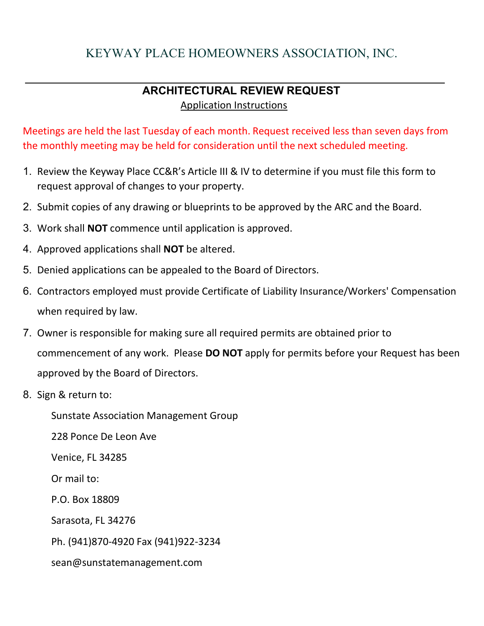## KEYWAY PLACE HOMEOWNERS ASSOCIATION, INC.

## **ARCHITECTURAL REVIEW REQUEST**  Application Instructions

Meetings are held the last Tuesday of each month. Request received less than seven days from the monthly meeting may be held for consideration until the next scheduled meeting.

- 1. Review the Keyway Place CC&R's Article III & IV to determine if you must file this form to request approval of changes to your property.
- 2. Submit copies of any drawing or blueprints to be approved by the ARC and the Board.
- 3. Work shall **NOT** commence until application is approved.
- 4. Approved applications shall **NOT** be altered.
- 5. Denied applications can be appealed to the Board of Directors.
- 6. Contractors employed must provide Certificate of Liability Insurance/Workers' Compensation when required by law.
- 7. Owner is responsible for making sure all required permits are obtained prior to commencement of any work. Please **DO NOT** apply for permits before your Request has been approved by the Board of Directors.
- 8. Sign & return to:

Sunstate Association Management Group

228 Ponce De Leon Ave

Venice, FL 34285

Or mail to:

P.O. Box 18809

Sarasota, FL 34276

Ph. (941)870‐4920 Fax (941)922-3234

sean@sunstatemanagement.com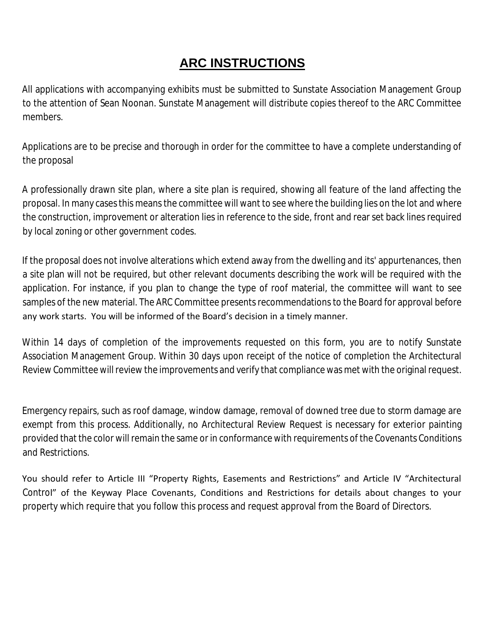## **ARC INSTRUCTIONS**

All applications with accompanying exhibits must be submitted to Sunstate Association Management Group to the attention of Sean Noonan. Sunstate Management will distribute copies thereof to the ARC Committee members.

Applications are to be precise and thorough in order for the committee to have a complete understanding of the proposal

A professionally drawn site plan, where a site plan is required, showing all feature of the land affecting the proposal. In many cases this means the committee will want to see where the building lies on the lot and where the construction, improvement or alteration lies in reference to the side, front and rear set back lines required by local zoning or other government codes.

If the proposal does not involve alterations which extend away from the dwelling and its' appurtenances, then a site plan will not be required, but other relevant documents describing the work will be required with the application. For instance, if you plan to change the type of roof material, the committee will want to see samples of the new material. The ARC Committee presents recommendations to the Board for approval before any work starts. You will be informed of the Board's decision in a timely manner.

Within 14 days of completion of the improvements requested on this form, you are to notify Sunstate Association Management Group. Within 30 days upon receipt of the notice of completion the Architectural Review Committee will review the improvements and verify that compliance was met with the original request.

Emergency repairs, such as roof damage, window damage, removal of downed tree due to storm damage are exempt from this process. Additionally, no Architectural Review Request is necessary for exterior painting provided that the color will remain the same or in conformance with requirements of the Covenants Conditions and Restrictions.

You should refer to Article III "Property Rights, Easements and Restrictions" and Article IV "Architectural Control" of the Keyway Place Covenants, Conditions and Restrictions for details about changes to your property which require that you follow this process and request approval from the Board of Directors.